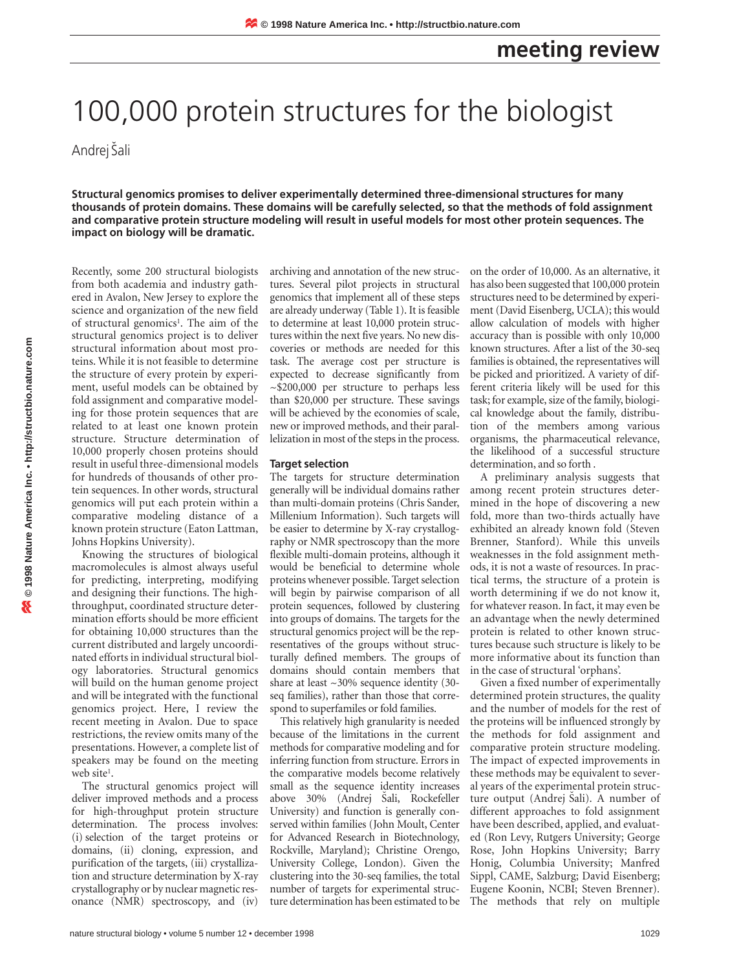# 100,000 protein structures for the biologist

Andrej Šali

**Structural genomics promises to deliver experimentally determined three-dimensional structures for many thousands of protein domains. These domains will be carefully selected, so that the methods of fold assignment and comparative protein structure modeling will result in useful models for most other protein sequences. The impact on biology will be dramatic.**

Recently, some 200 structural biologists from both academia and industry gathered in Avalon, New Jersey to explore the science and organization of the new field of structural genomics<sup>1</sup>. The aim of the structural genomics project is to deliver structural information about most proteins. While it is not feasible to determine the structure of every protein by experiment, useful models can be obtained by fold assignment and comparative modeling for those protein sequences that are related to at least one known protein structure. Structure determination of 10,000 properly chosen proteins should result in useful three-dimensional models for hundreds of thousands of other protein sequences. In other words, structural genomics will put each protein within a comparative modeling distance of a known protein structure (Eaton Lattman, Johns Hopkins University).

Knowing the structures of biological macromolecules is almost always useful for predicting, interpreting, modifying and designing their functions. The highthroughput, coordinated structure determination efforts should be more efficient for obtaining 10,000 structures than the current distributed and largely uncoordinated efforts in individual structural biology laboratories. Structural genomics will build on the human genome project and will be integrated with the functional genomics project. Here, I review the recent meeting in Avalon. Due to space restrictions, the review omits many of the presentations. However, a complete list of speakers may be found on the meeting web site<sup>1</sup>.

The structural genomics project will deliver improved methods and a process for high-throughput protein structure determination. The process involves: (i) selection of the target proteins or domains, (ii) cloning, expression, and purification of the targets, (iii) crystallization and structure determination by X-ray crystallography or by nuclear magnetic resonance (NMR) spectroscopy, and (iv)

archiving and annotation of the new structures. Several pilot projects in structural genomics that implement all of these steps are already underway (Table 1). It is feasible to determine at least 10,000 protein structures within the next five years. No new discoveries or methods are needed for this task. The average cost per structure is expected to decrease significantly from ~\$200,000 per structure to perhaps less than \$20,000 per structure. These savings will be achieved by the economies of scale, new or improved methods, and their parallelization in most of the steps in the process.

#### **Target selection**

The targets for structure determination generally will be individual domains rather than multi-domain proteins (Chris Sander, Millenium Information). Such targets will be easier to determine by X-ray crystallography or NMR spectroscopy than the more flexible multi-domain proteins, although it would be beneficial to determine whole proteins whenever possible. Target selection will begin by pairwise comparison of all protein sequences, followed by clustering into groups of domains. The targets for the structural genomics project will be the representatives of the groups without structurally defined members. The groups of domains should contain members that share at least ~30% sequence identity (30 seq families), rather than those that correspond to superfamiles or fold families.

This relatively high granularity is needed because of the limitations in the current methods for comparative modeling and for inferring function from structure. Errors in the comparative models become relatively small as the sequence identity increases above 30% (Andrej Šali, Rockefeller University) and function is generally conserved within families (John Moult, Center for Advanced Research in Biotechnology, Rockville, Maryland); Christine Orengo, University College, London). Given the clustering into the 30-seq families, the total number of targets for experimental structure determination has been estimated to be

on the order of 10,000. As an alternative, it has also been suggested that 100,000 protein structures need to be determined by experiment (David Eisenberg, UCLA); this would allow calculation of models with higher accuracy than is possible with only 10,000 known structures. After a list of the 30-seq families is obtained, the representatives will be picked and prioritized. A variety of different criteria likely will be used for this task; for example, size of the family, biological knowledge about the family, distribution of the members among various organisms, the pharmaceutical relevance, the likelihood of a successful structure determination, and so forth .

A preliminary analysis suggests that among recent protein structures determined in the hope of discovering a new fold, more than two-thirds actually have exhibited an already known fold (Steven Brenner, Stanford). While this unveils weaknesses in the fold assignment methods, it is not a waste of resources. In practical terms, the structure of a protein is worth determining if we do not know it, for whatever reason. In fact, it may even be an advantage when the newly determined protein is related to other known structures because such structure is likely to be more informative about its function than in the case of structural 'orphans'.

Given a fixed number of experimentally determined protein structures, the quality and the number of models for the rest of the proteins will be influenced strongly by the methods for fold assignment and comparative protein structure modeling. The impact of expected improvements in these methods may be equivalent to several years of the experimental protein structure output (Andrej Šali). A number of different approaches to fold assignment have been described, applied, and evaluated (Ron Levy, Rutgers University; George Rose, John Hopkins University; Barry Honig, Columbia University; Manfred Sippl, CAME, Salzburg; David Eisenberg; Eugene Koonin, NCBI; Steven Brenner). The methods that rely on multiple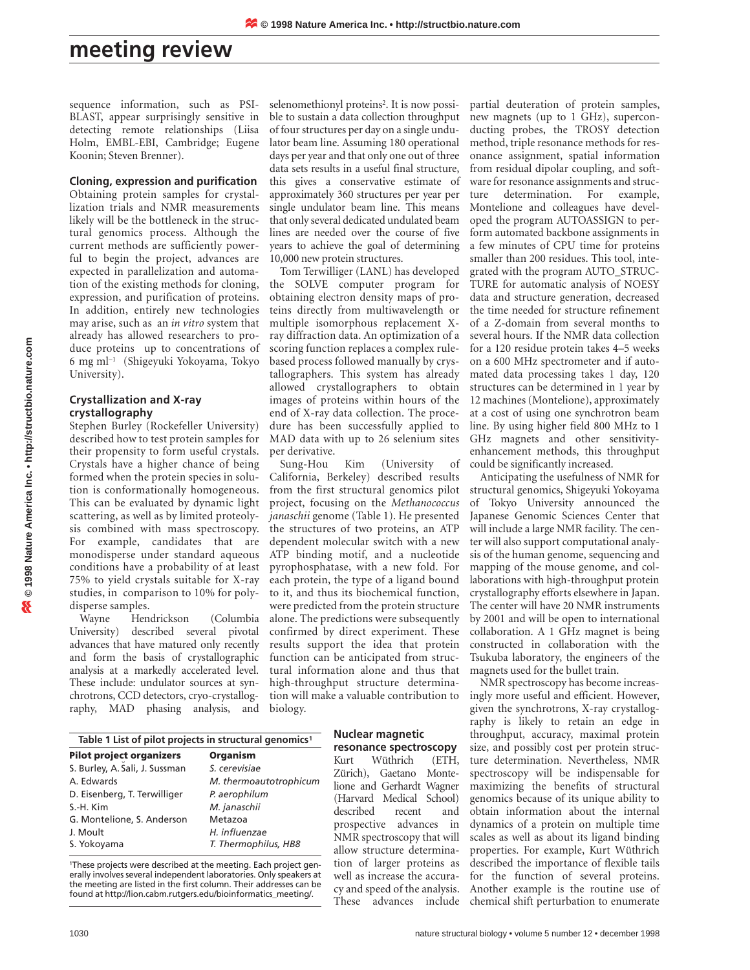## **meeting review**

sequence information, such as PSI-BLAST, appear surprisingly sensitive in detecting remote relationships (Liisa Holm, EMBL-EBI, Cambridge; Eugene Koonin; Steven Brenner).

**Cloning, expression and purification** Obtaining protein samples for crystallization trials and NMR measurements likely will be the bottleneck in the structural genomics process. Although the current methods are sufficiently powerful to begin the project, advances are expected in parallelization and automation of the existing methods for cloning, expression, and purification of proteins. In addition, entirely new technologies may arise, such as an *in vitro* system that already has allowed researchers to produce proteins up to concentrations of 6 mg ml–1 (Shigeyuki Yokoyama, Tokyo University).

#### **Crystallization and X-ray crystallography**

Stephen Burley (Rockefeller University) described how to test protein samples for their propensity to form useful crystals. Crystals have a higher chance of being formed when the protein species in solution is conformationally homogeneous. This can be evaluated by dynamic light scattering, as well as by limited proteolysis combined with mass spectroscopy. For example, candidates that are monodisperse under standard aqueous conditions have a probability of at least 75% to yield crystals suitable for X-ray studies, in comparison to 10% for polydisperse samples.

Wayne Hendrickson (Columbia University) described several pivotal advances that have matured only recently and form the basis of crystallographic analysis at a markedly accelerated level. These include: undulator sources at synchrotrons, CCD detectors, cryo-crystallography, MAD phasing analysis, and

selenomethionyl proteins<sup>2</sup>. It is now possible to sustain a data collection throughput of four structures per day on a single undulator beam line. Assuming 180 operational days per year and that only one out of three data sets results in a useful final structure, this gives a conservative estimate of approximately 360 structures per year per single undulator beam line. This means that only several dedicated undulated beam lines are needed over the course of five years to achieve the goal of determining 10,000 new protein structures.

Tom Terwilliger (LANL) has developed the SOLVE computer program for obtaining electron density maps of proteins directly from multiwavelength or multiple isomorphous replacement Xray diffraction data. An optimization of a scoring function replaces a complex rulebased process followed manually by crystallographers. This system has already allowed crystallographers to obtain images of proteins within hours of the end of X-ray data collection. The procedure has been successfully applied to MAD data with up to 26 selenium sites per derivative.

Sung-Hou Kim (University of California, Berkeley) described results from the first structural genomics pilot project, focusing on the *Methanococcus janaschii* genome (Table 1). He presented the structures of two proteins, an ATP dependent molecular switch with a new ATP binding motif, and a nucleotide pyrophosphatase, with a new fold. For each protein, the type of a ligand bound to it, and thus its biochemical function, were predicted from the protein structure alone. The predictions were subsequently confirmed by direct experiment. These results support the idea that protein function can be anticipated from structural information alone and thus that high-throughput structure determination will make a valuable contribution to biology.

| Table 1 List of pilot projects in structural genomics <sup>1</sup> |                        |
|--------------------------------------------------------------------|------------------------|
| <b>Pilot project organizers</b>                                    | <b>Organism</b>        |
| S. Burley, A. Šali, J. Sussman                                     | S. cerevisiae          |
| A. Edwards                                                         | M. thermoautotrophicum |
| D. Eisenberg, T. Terwilliger                                       | P. aerophilum          |
| S.-H. Kim                                                          | M. janaschii           |

G. Montelione, S. Anderson Metazoa J. Moult *H. influenzae* S. Yokoyama *T. Thermophilus, HB8*

1These projects were described at the meeting. Each project generally involves several independent laboratories. Only speakers at the meeting are listed in the first column. Their addresses can be found at http://lion.cabm.rutgers.edu/bioinformatics\_meeting/.

### **Nuclear magnetic**

**resonance spectroscopy** Kurt Wüthrich (ETH, Zürich), Gaetano Montelione and Gerhardt Wagner (Harvard Medical School) described recent and prospective advances in NMR spectroscopy that will allow structure determination of larger proteins as well as increase the accuracy and speed of the analysis. These advances include

partial deuteration of protein samples, new magnets (up to 1 GHz), superconducting probes, the TROSY detection method, triple resonance methods for resonance assignment, spatial information from residual dipolar coupling, and software for resonance assignments and structure determination. For example, Montelione and colleagues have developed the program AUTOASSIGN to perform automated backbone assignments in a few minutes of CPU time for proteins smaller than 200 residues. This tool, integrated with the program AUTO\_STRUC-TURE for automatic analysis of NOESY data and structure generation, decreased the time needed for structure refinement of a Z-domain from several months to several hours. If the NMR data collection for a 120 residue protein takes 4–5 weeks on a 600 MHz spectrometer and if automated data processing takes 1 day, 120 structures can be determined in 1 year by 12 machines (Montelione), approximately at a cost of using one synchrotron beam line. By using higher field 800 MHz to 1 GHz magnets and other sensitivityenhancement methods, this throughput could be significantly increased.

Anticipating the usefulness of NMR for structural genomics, Shigeyuki Yokoyama of Tokyo University announced the Japanese Genomic Sciences Center that will include a large NMR facility. The center will also support computational analysis of the human genome, sequencing and mapping of the mouse genome, and collaborations with high-throughput protein crystallography efforts elsewhere in Japan. The center will have 20 NMR instruments by 2001 and will be open to international collaboration. A 1 GHz magnet is being constructed in collaboration with the Tsukuba laboratory, the engineers of the magnets used for the bullet train.

NMR spectroscopy has become increasingly more useful and efficient. However, given the synchrotrons, X-ray crystallography is likely to retain an edge in throughput, accuracy, maximal protein size, and possibly cost per protein structure determination. Nevertheless, NMR spectroscopy will be indispensable for maximizing the benefits of structural genomics because of its unique ability to obtain information about the internal dynamics of a protein on multiple time scales as well as about its ligand binding properties. For example, Kurt Wüthrich described the importance of flexible tails for the function of several proteins. Another example is the routine use of chemical shift perturbation to enumerate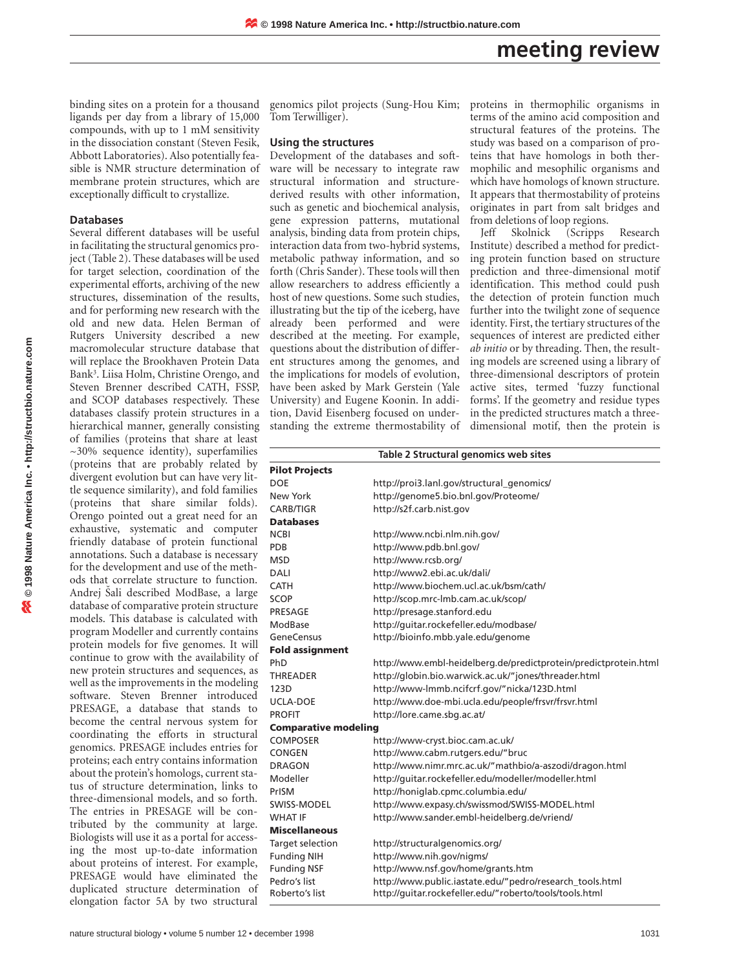## **meeting review**

binding sites on a protein for a thousand ligands per day from a library of 15,000 compounds, with up to 1 mM sensitivity in the dissociation constant (Steven Fesik, Abbott Laboratories). Also potentially feasible is NMR structure determination of membrane protein structures, which are exceptionally difficult to crystallize.

#### **Databases**

Several different databases will be useful in facilitating the structural genomics project (Table 2). These databases will be used for target selection, coordination of the experimental efforts, archiving of the new structures, dissemination of the results, and for performing new research with the old and new data. Helen Berman of Rutgers University described a new macromolecular structure database that will replace the Brookhaven Protein Data Bank3. Liisa Holm, Christine Orengo, and Steven Brenner described CATH, FSSP, and SCOP databases respectively. These databases classify protein structures in a hierarchical manner, generally consisting of families (proteins that share at least ~30% sequence identity), superfamilies (proteins that are probably related by divergent evolution but can have very little sequence similarity), and fold families (proteins that share similar folds). Orengo pointed out a great need for an exhaustive, systematic and computer friendly database of protein functional annotations. Such a database is necessary for the development and use of the methods that correlate structure to function. Andrej Šali described ModBase, a large database of comparative protein structure models. This database is calculated with program Modeller and currently contains protein models for five genomes. It will continue to grow with the availability of new protein structures and sequences, as well as the improvements in the modeling software. Steven Brenner introduced PRESAGE, a database that stands to become the central nervous system for coordinating the efforts in structural genomics. PRESAGE includes entries for proteins; each entry contains information about the protein's homologs, current status of structure determination, links to three-dimensional models, and so forth. The entries in PRESAGE will be contributed by the community at large. Biologists will use it as a portal for accessing the most up-to-date information about proteins of interest. For example, PRESAGE would have eliminated the duplicated structure determination of elongation factor 5A by two structural

genomics pilot projects (Sung-Hou Kim; proteins in thermophilic organisms in Tom Terwilliger).

#### **Using the structures**

Development of the databases and software will be necessary to integrate raw structural information and structurederived results with other information, such as genetic and biochemical analysis, gene expression patterns, mutational analysis, binding data from protein chips, interaction data from two-hybrid systems, metabolic pathway information, and so forth (Chris Sander). These tools will then allow researchers to address efficiently a host of new questions. Some such studies, illustrating but the tip of the iceberg, have already been performed and were described at the meeting. For example, questions about the distribution of different structures among the genomes, and the implications for models of evolution, have been asked by Mark Gerstein (Yale University) and Eugene Koonin. In addition, David Eisenberg focused on understanding the extreme thermostability of terms of the amino acid composition and structural features of the proteins. The study was based on a comparison of proteins that have homologs in both thermophilic and mesophilic organisms and which have homologs of known structure. It appears that thermostability of proteins originates in part from salt bridges and from deletions of loop regions.

Jeff Skolnick (Scripps Research Institute) described a method for predicting protein function based on structure prediction and three-dimensional motif identification. This method could push the detection of protein function much further into the twilight zone of sequence identity. First, the tertiary structures of the sequences of interest are predicted either *ab initio* or by threading. Then, the resulting models are screened using a library of three-dimensional descriptors of protein active sites, termed 'fuzzy functional forms'. If the geometry and residue types in the predicted structures match a threedimensional motif, then the protein is

| Table 2 Structural genomics web sites |                                                                  |
|---------------------------------------|------------------------------------------------------------------|
| <b>Pilot Projects</b>                 |                                                                  |
| <b>DOE</b>                            | http://proi3.lanl.gov/structural_genomics/                       |
| New York                              | http://genome5.bio.bnl.gov/Proteome/                             |
| CARB/TIGR                             | http://s2f.carb.nist.gov                                         |
| <b>Databases</b>                      |                                                                  |
| <b>NCBI</b>                           | http://www.ncbi.nlm.nih.gov/                                     |
| PDB                                   | http://www.pdb.bnl.gov/                                          |
| <b>MSD</b>                            | http://www.rcsb.org/                                             |
| DALI                                  | http://www2.ebi.ac.uk/dali/                                      |
| <b>CATH</b>                           | http://www.biochem.ucl.ac.uk/bsm/cath/                           |
| <b>SCOP</b>                           | http://scop.mrc-lmb.cam.ac.uk/scop/                              |
| PRESAGE                               | http://presage.stanford.edu                                      |
| ModBase                               | http://quitar.rockefeller.edu/modbase/                           |
| <b>GeneCensus</b>                     | http://bioinfo.mbb.yale.edu/genome                               |
| <b>Fold assignment</b>                |                                                                  |
| PhD                                   | http://www.embl-heidelberg.de/predictprotein/predictprotein.html |
| <b>THREADER</b>                       | http://globin.bio.warwick.ac.uk/"jones/threader.html             |
| 123D                                  | http://www-lmmb.ncifcrf.gov/"nicka/123D.html                     |
| UCLA-DOE                              | http://www.doe-mbi.ucla.edu/people/frsvr/frsvr.html              |
| <b>PROFIT</b>                         | http://lore.came.sbg.ac.at/                                      |
| <b>Comparative modeling</b>           |                                                                  |
| <b>COMPOSER</b>                       | http://www-cryst.bioc.cam.ac.uk/                                 |
| CONGEN                                | http://www.cabm.rutgers.edu/"bruc                                |
| DRAGON                                | http://www.nimr.mrc.ac.uk/"mathbio/a-aszodi/dragon.html          |
| Modeller                              | http://quitar.rockefeller.edu/modeller/modeller.html             |
| PrISM                                 | http://honiglab.cpmc.columbia.edu/                               |
| SWISS-MODEL                           | http://www.expasy.ch/swissmod/SWISS-MODEL.html                   |
| <b>WHAT IF</b>                        | http://www.sander.embl-heidelberg.de/vriend/                     |
| <b>Miscellaneous</b>                  |                                                                  |
| Target selection                      | http://structuralgenomics.org/                                   |
| <b>Funding NIH</b>                    | http://www.nih.gov/nigms/                                        |
| <b>Funding NSF</b>                    | http://www.nsf.gov/home/grants.htm                               |
| Pedro's list                          | http://www.public.iastate.edu/"pedro/research_tools.html         |
| Roberto's list                        | http://quitar.rockefeller.edu/"roberto/tools/tools.html          |